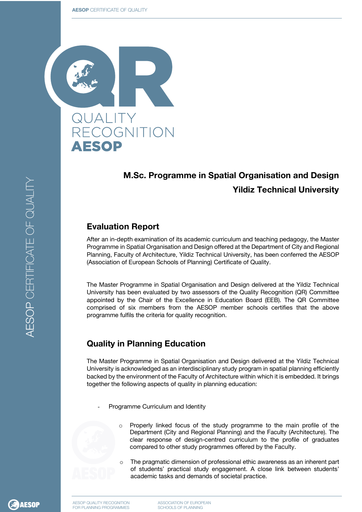

# **M.Sc. Programme in Spatial Organisation and Design Yildiz Technical University**

### **Evaluation Report**

After an in-depth examination of its academic curriculum and teaching pedagogy, the Master Programme in Spatial Organisation and Design offered at the Department of City and Regional Planning, Faculty of Architecture, Yildiz Technical University, has been conferred the AESOP (Association of European Schools of Planning) Certificate of Quality.

The Master Programme in Spatial Organisation and Design delivered at the Yildiz Technical University has been evaluated by two assessors of the Quality Recognition (QR) Committee appointed by the Chair of the Excellence in Education Board (EEB). The QR Committee comprised of six members from the AESOP member schools certifies that the above programme fulfils the criteria for quality recognition.

## **Quality in Planning Education**

The Master Programme in Spatial Organisation and Design delivered at the Yildiz Technical University is acknowledged as an interdisciplinary study program in spatial planning efficiently backed by the environment of the Faculty of Architecture within which it is embedded. It brings together the following aspects of quality in planning education:

- Programme Curriculum and Identity
	- o Properly linked focus of the study programme to the main profile of the Department (City and Regional Planning) and the Faculty (Architecture). The clear response of design-centred curriculum to the profile of graduates compared to other study programmes offered by the Faculty.
	- The pragmatic dimension of professional ethic awareness as an inherent part of students' practical study engagement. A close link between students' academic tasks and demands of societal practice.

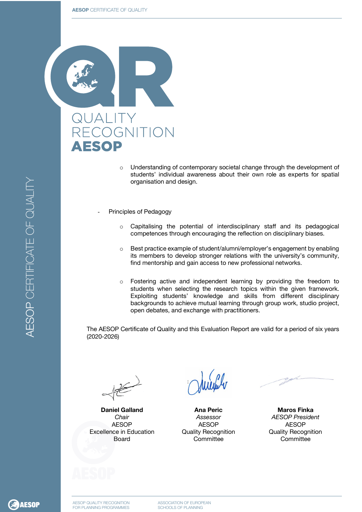

- $\circ$  Understanding of contemporary societal change through the development of students' individual awareness about their own role as experts for spatial organisation and design.
- Principles of Pedagogy
	- $\circ$  Capitalising the potential of interdisciplinary staff and its pedagogical competences through encouraging the reflection on disciplinary biases.
	- o Best practice example of student/alumni/employer's engagement by enabling its members to develop stronger relations with the university's community, find mentorship and gain access to new professional networks.
	- o Fostering active and independent learning by providing the freedom to students when selecting the research topics within the given framework. Exploiting students' knowledge and skills from different disciplinary backgrounds to achieve mutual learning through group work, studio project, open debates, and exchange with practitioners.

The AESOP Certificate of Quality and this Evaluation Report are valid for a period of six years (2020-2026)

**Daniel Galland** *Chair* AESOP Excellence in Education Board

Millely

**Ana Peric** *Assessor* AESOP Quality Recognition **Committee** 

**Maros Finka** *AESOP President* AESOP Quality Recognition **Committee**